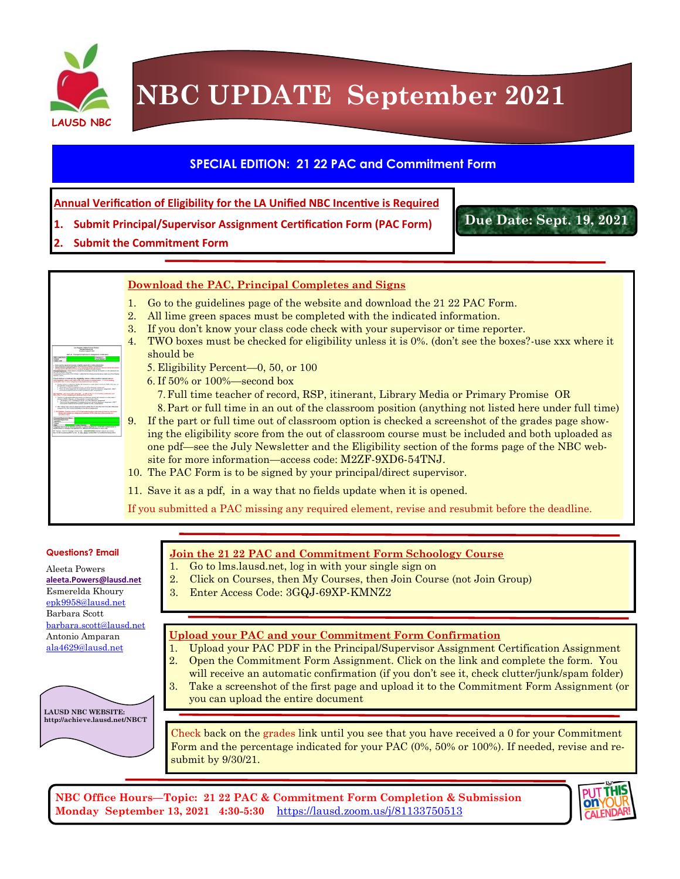

# **NBC UPDATE September 2021**

## **SPECIAL EDITION: 21 22 PAC and Commitment Form**

**Annual Verification of Eligibility for the LA Unified NBC Incentive is Required**

- **1. Submit Principal/Supervisor Assignment Certification Form (PAC Form)**
- **2. Submit the Commitment Form**

### **Download the PAC, Principal Completes and Signs**

- 1. Go to the guidelines page of the website and download the 21 22 PAC Form.
- 2. All lime green spaces must be completed with the indicated information.
- 3. If you don't know your class code check with your supervisor or time reporter.
- 4. TWO boxes must be checked for eligibility unless it is 0%. (don't see the boxes?-use xxx where it should be
	- Eligibility Percent—0, 50, or 100
	- If 50% or 100%—second box
	- Full time teacher of record, RSP, itinerant, Library Media or Primary Promise OR
- Part or full time in an out of the classroom position (anything not listed here under full time) 9. If the part or full time out of classroom option is checked a screenshot of the grades page show
	- ing the eligibility score from the out of classroom course must be included and both uploaded as one pdf—see the July Newsletter and the Eligibility section of the forms page of the NBC website for more information—access code: M2ZF-9XD6-54TNJ.
- 10. The PAC Form is to be signed by your principal/direct supervisor.
- 11. Save it as a pdf, in a way that no fields update when it is opened.

If you submitted a PAC missing any required element, revise and resubmit before the deadline.

#### **Questions? Email**

**LAUSD NBC WEBSITE: http://achieve.lausd.net/NBCT**

Aleeta Powers **[aleeta.Powers@lausd.net](mailto:Aleeta.Powers@lausd.net)** Esmerelda Khoury [epk9958@lausd.net](mailto:epk9958@lausd.net)  Barbara Scott [barbara.scott@lausd.net](mailto:barbara.scott@lausd.net) Antonio Amparan [ala4629@lausd.net](mailto:ala4629@lausd.net)



- 1. Go to lms.lausd.net, log in with your single sign on
- 2. Click on Courses, then My Courses, then Join Course (not Join Group)
- 3. Enter Access Code: 3GQJ-69XP-KMNZ2

### **Upload your PAC and your Commitment Form Confirmation**

- 1. Upload your PAC PDF in the Principal/Supervisor Assignment Certification Assignment 2. Open the Commitment Form Assignment. Click on the link and complete the form. You
- will receive an automatic confirmation (if you don't see it, check clutter/junk/spam folder)
- 3. Take a screenshot of the first page and upload it to the Commitment Form Assignment (or you can upload the entire document

Check back on the grades link until you see that you have received a 0 for your Commitment Form and the percentage indicated for your PAC (0%, 50% or 100%). If needed, revise and resubmit by 9/30/21.

**NBC Office Hours—Topic: 21 22 PAC & Commitment Form Completion & Submission Monday September 13, 2021 4:30-5:30** [https://lausd.zoom.us/j/81133750513](https://nam11.safelinks.protection.outlook.com/?url=https%3A%2F%2Flausd.zoom.us%2Fj%2F81133750513&data=04%7C01%7Caleeta.powers%40lausd.net%7C1203130b4e824c10eae908d973d5c1da%7C042a40a1b1284ac48648016ffa121487%7C0%7C0%7C637668184193839884%7CUnknown%7CTWFpbGZsb)



**Due Date: Sept. 19, 2021**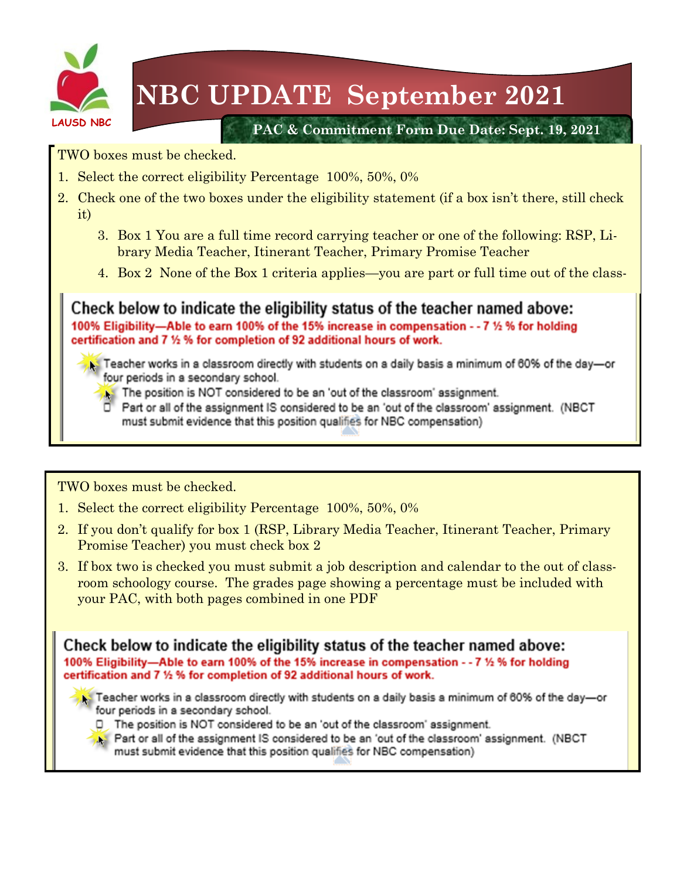

# **NBC UPDATE September 2021**

**PAC & Commitment Form Due Date: Sept. 19, 2021**

TWO boxes must be checked.

- 1. Select the correct eligibility Percentage 100%, 50%, 0%
- 2. Check one of the two boxes under the eligibility statement (if a box isn't there, still check it)
	- 3. Box 1 You are a full time record carrying teacher or one of the following: RSP, Library Media Teacher, Itinerant Teacher, Primary Promise Teacher
	- 4. Box 2 None of the Box 1 criteria applies—you are part or full time out of the class-

Check below to indicate the eligibility status of the teacher named above: 100% Eligibility—Able to earn 100% of the 15% increase in compensation - - 7 1/2 % for holding certification and 7 1/2 % for completion of 92 additional hours of work.

- State Teacher works in a classroom directly with students on a daily basis a minimum of 60% of the day-or four periods in a secondary school.
	- The position is NOT considered to be an 'out of the classroom' assignment.
	- Part or all of the assignment IS considered to be an 'out of the classroom' assignment. (NBCT must submit evidence that this position qualifies for NBC compensation)

TWO boxes must be checked.

- 1. Select the correct eligibility Percentage 100%, 50%, 0%
- 2. If you don't qualify for box 1 (RSP, Library Media Teacher, Itinerant Teacher, Primary Promise Teacher) you must check box 2
- 3. If box two is checked you must submit a job description and calendar to the out of classroom schoology course. The grades page showing a percentage must be included with your PAC, with both pages combined in one PDF

Check below to indicate the eligibility status of the teacher named above: 100% Eligibility—Able to earn 100% of the 15% increase in compensation - - 7 1/2 % for holding certification and 7 1/2 % for completion of 92 additional hours of work.

- Teacher works in a classroom directly with students on a daily basis a minimum of 60% of the day—or four periods in a secondary school.
	- D. The position is NOT considered to be an 'out of the classroom' assignment.
	- Part or all of the assignment IS considered to be an 'out of the classroom' assignment. (NBCT must submit evidence that this position qualifies for NBC compensation)